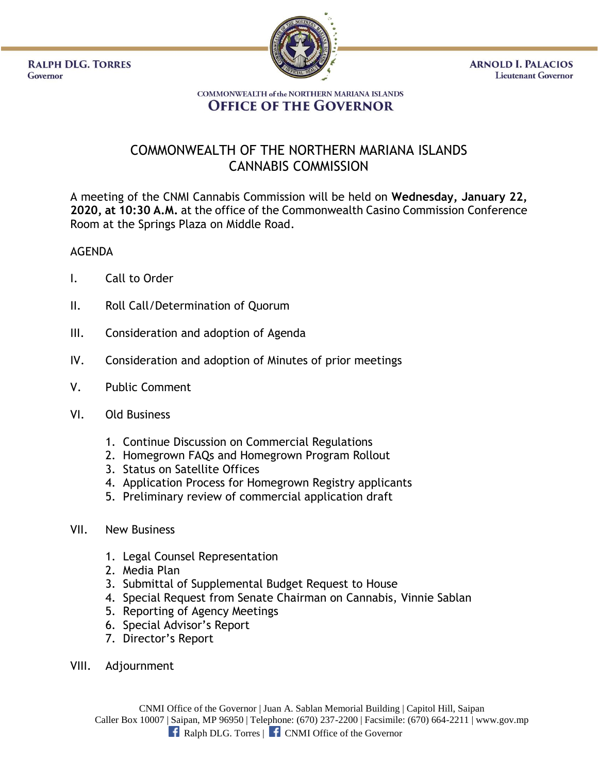**RALPH DLG. TORRES** Governor



**ARNOLD I. PALACIOS Lieutenant Governor** 

## **COMMONWEALTH of the NORTHERN MARIANA ISLANDS OFFICE OF THE GOVERNOR**

## COMMONWEALTH OF THE NORTHERN MARIANA ISLANDS CANNABIS COMMISSION

A meeting of the CNMI Cannabis Commission will be held on **Wednesday, January 22, 2020, at 10:30 A.M.** at the office of the Commonwealth Casino Commission Conference Room at the Springs Plaza on Middle Road.

## AGENDA

- I. Call to Order
- II. Roll Call/Determination of Quorum
- III. Consideration and adoption of Agenda
- IV. Consideration and adoption of Minutes of prior meetings
- V. Public Comment
- VI. Old Business
	- 1. Continue Discussion on Commercial Regulations
	- 2. Homegrown FAQs and Homegrown Program Rollout
	- 3. Status on Satellite Offices
	- 4. Application Process for Homegrown Registry applicants
	- 5. Preliminary review of commercial application draft

## VII. New Business

- 1. Legal Counsel Representation
- 2. Media Plan
- 3. Submittal of Supplemental Budget Request to House
- 4. Special Request from Senate Chairman on Cannabis, Vinnie Sablan
- 5. Reporting of Agency Meetings
- 6. Special Advisor's Report
- 7. Director's Report
- VIII. Adjournment